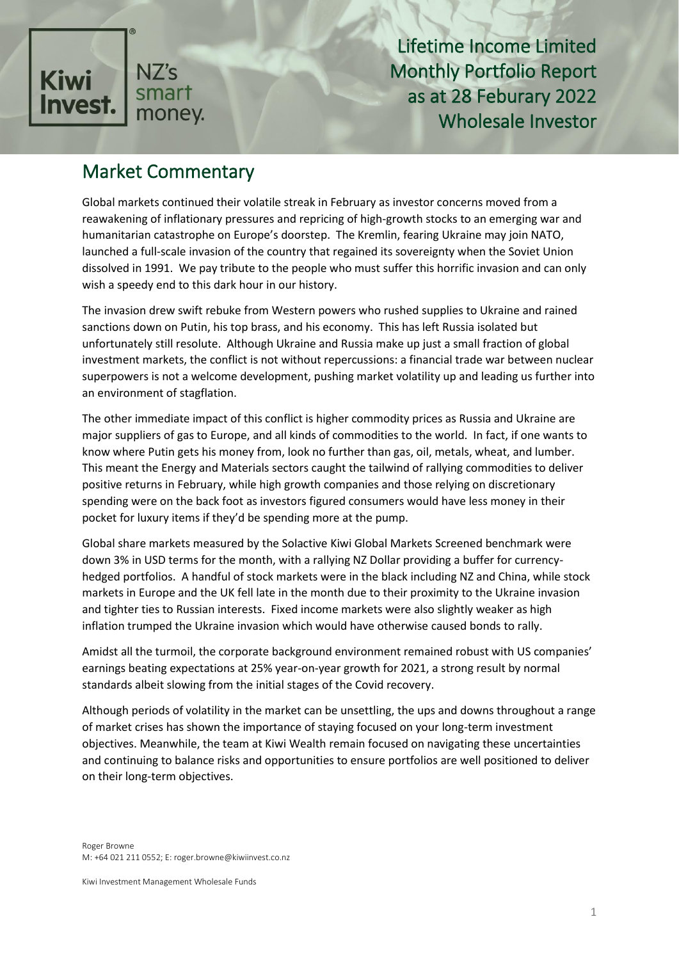

# Market Commentary

Global markets continued their volatile streak in February as investor concerns moved from a reawakening of inflationary pressures and repricing of high-growth stocks to an emerging war and humanitarian catastrophe on Europe's doorstep. The Kremlin, fearing Ukraine may join NATO, launched a full-scale invasion of the country that regained its sovereignty when the Soviet Union dissolved in 1991. We pay tribute to the people who must suffer this horrific invasion and can only wish a speedy end to this dark hour in our history.

The invasion drew swift rebuke from Western powers who rushed supplies to Ukraine and rained sanctions down on Putin, his top brass, and his economy. This has left Russia isolated but unfortunately still resolute. Although Ukraine and Russia make up just a small fraction of global investment markets, the conflict is not without repercussions: a financial trade war between nuclear superpowers is not a welcome development, pushing market volatility up and leading us further into an environment of stagflation.

The other immediate impact of this conflict is higher commodity prices as Russia and Ukraine are major suppliers of gas to Europe, and all kinds of commodities to the world. In fact, if one wants to know where Putin gets his money from, look no further than gas, oil, metals, wheat, and lumber. This meant the Energy and Materials sectors caught the tailwind of rallying commodities to deliver positive returns in February, while high growth companies and those relying on discretionary spending were on the back foot as investors figured consumers would have less money in their pocket for luxury items if they'd be spending more at the pump.

Global share markets measured by the Solactive Kiwi Global Markets Screened benchmark were down 3% in USD terms for the month, with a rallying NZ Dollar providing a buffer for currencyhedged portfolios. A handful of stock markets were in the black including NZ and China, while stock markets in Europe and the UK fell late in the month due to their proximity to the Ukraine invasion and tighter ties to Russian interests. Fixed income markets were also slightly weaker as high inflation trumped the Ukraine invasion which would have otherwise caused bonds to rally.

Amidst all the turmoil, the corporate background environment remained robust with US companies' earnings beating expectations at 25% year-on-year growth for 2021, a strong result by normal standards albeit slowing from the initial stages of the Covid recovery.

Although periods of volatility in the market can be unsettling, the ups and downs throughout a range of market crises has shown the importance of staying focused on your long-term investment objectives. Meanwhile, the team at Kiwi Wealth remain focused on navigating these uncertainties and continuing to balance risks and opportunities to ensure portfolios are well positioned to deliver on their long-term objectives.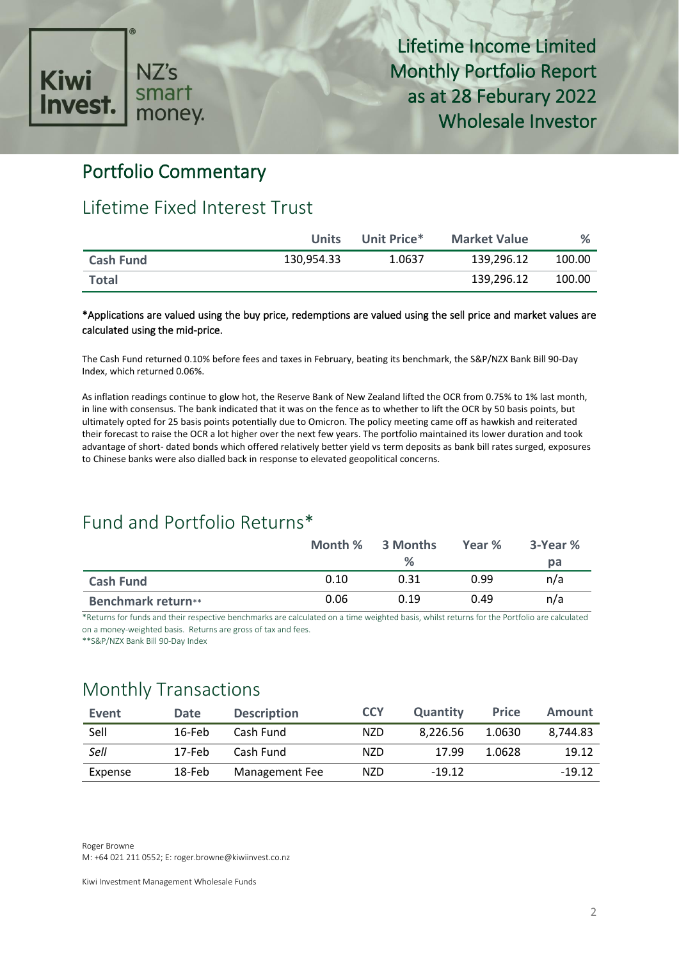

### Portfolio Commentary

### Lifetime Fixed Interest Trust

|                  | <b>Units</b> | Unit Price* | <b>Market Value</b> | %      |
|------------------|--------------|-------------|---------------------|--------|
| <b>Cash Fund</b> | 130.954.33   | 1.0637      | 139.296.12          | 100.00 |
| <b>Total</b>     |              |             | 139.296.12          | 100.00 |

#### \*Applications are valued using the buy price, redemptions are valued using the sell price and market values are calculated using the mid-price.

The Cash Fund returned 0.10% before fees and taxes in February, beating its benchmark, the S&P/NZX Bank Bill 90-Day Index, which returned 0.06%.

As inflation readings continue to glow hot, the Reserve Bank of New Zealand lifted the OCR from 0.75% to 1% last month, in line with consensus. The bank indicated that it was on the fence as to whether to lift the OCR by 50 basis points, but ultimately opted for 25 basis points potentially due to Omicron. The policy meeting came off as hawkish and reiterated their forecast to raise the OCR a lot higher over the next few years. The portfolio maintained its lower duration and took advantage of short- dated bonds which offered relatively better yield vs term deposits as bank bill rates surged, exposures to Chinese banks were also dialled back in response to elevated geopolitical concerns.

## Fund and Portfolio Returns\*

|                           | Month % | 3 Months | Year % | 3-Year % |
|---------------------------|---------|----------|--------|----------|
|                           |         | %        |        | рa       |
| <b>Cash Fund</b>          | 0.10    | 0.31     | 0.99   | n/a      |
| <b>Benchmark return**</b> | 0.06    | 0.19     | 0.49   | n/a      |

\*Returns for funds and their respective benchmarks are calculated on a time weighted basis, whilst returns for the Portfolio are calculated on a money-weighted basis. Returns are gross of tax and fees.

\*\*S&P/NZX Bank Bill 90-Day Index

# Monthly Transactions

| Event   | <b>Date</b> | <b>Description</b> | <b>CCY</b> | <b>Quantity</b> | <b>Price</b> | Amount   |
|---------|-------------|--------------------|------------|-----------------|--------------|----------|
| Sell    | 16-Feb      | Cash Fund          | NZD.       | 8.226.56        | 1.0630       | 8.744.83 |
| Sell    | 17-Feb      | Cash Fund          | <b>NZD</b> | 17.99           | 1.0628       | 19.12    |
| Expense | 18-Feb      | Management Fee     | <b>NZD</b> | $-19.12$        |              | $-19.12$ |

Roger Browne M: +64 021 211 0552; E: roger.browne@kiwiinvest.co.nz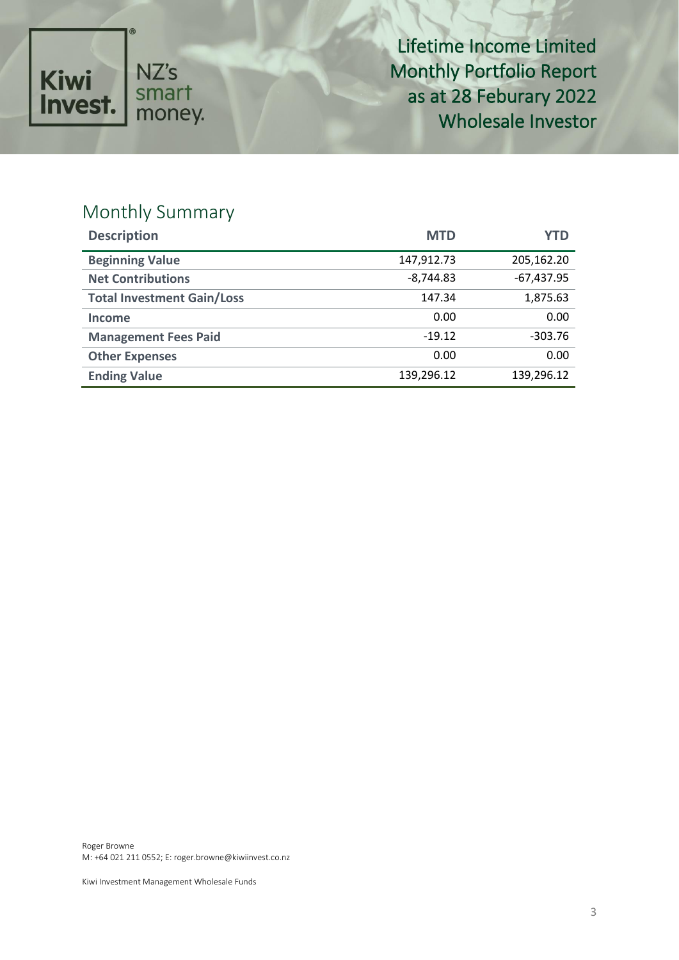

# Monthly Summary

| <b>Description</b>                | <b>MTD</b>  | <b>YTD</b>   |
|-----------------------------------|-------------|--------------|
| <b>Beginning Value</b>            | 147,912.73  | 205,162.20   |
| <b>Net Contributions</b>          | $-8,744.83$ | $-67,437.95$ |
| <b>Total Investment Gain/Loss</b> | 147.34      | 1,875.63     |
| <b>Income</b>                     | 0.00        | 0.00         |
| <b>Management Fees Paid</b>       | $-19.12$    | $-303.76$    |
| <b>Other Expenses</b>             | 0.00        | 0.00         |
| <b>Ending Value</b>               | 139,296.12  | 139,296.12   |

Roger Browne M: +64 021 211 0552; E: roger.browne@kiwiinvest.co.nz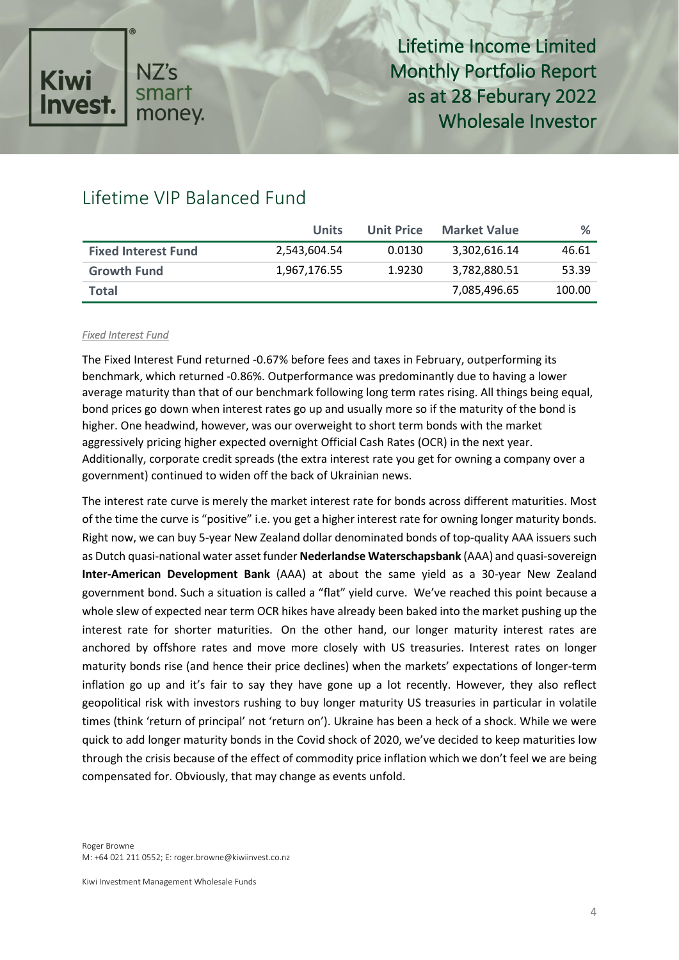

### Lifetime VIP Balanced Fund

|                            | Units        | <b>Unit Price</b> | <b>Market Value</b> | $\%$   |
|----------------------------|--------------|-------------------|---------------------|--------|
| <b>Fixed Interest Fund</b> | 2,543,604.54 | 0.0130            | 3,302,616.14        | 46.61  |
| <b>Growth Fund</b>         | 1,967,176.55 | 1.9230            | 3,782,880.51        | 53.39  |
| <b>Total</b>               |              |                   | 7,085,496.65        | 100.00 |

#### *Fixed Interest Fund*

The Fixed Interest Fund returned -0.67% before fees and taxes in February, outperforming its benchmark, which returned -0.86%. Outperformance was predominantly due to having a lower average maturity than that of our benchmark following long term rates rising. All things being equal, bond prices go down when interest rates go up and usually more so if the maturity of the bond is higher. One headwind, however, was our overweight to short term bonds with the market aggressively pricing higher expected overnight Official Cash Rates (OCR) in the next year. Additionally, corporate credit spreads (the extra interest rate you get for owning a company over a government) continued to widen off the back of Ukrainian news.

The interest rate curve is merely the market interest rate for bonds across different maturities. Most of the time the curve is "positive" i.e. you get a higher interest rate for owning longer maturity bonds. Right now, we can buy 5-year New Zealand dollar denominated bonds of top-quality AAA issuers such as Dutch quasi-national water asset funder **Nederlandse Waterschapsbank** (AAA) and quasi-sovereign **Inter-American Development Bank** (AAA) at about the same yield as a 30-year New Zealand government bond. Such a situation is called a "flat" yield curve. We've reached this point because a whole slew of expected near term OCR hikes have already been baked into the market pushing up the interest rate for shorter maturities. On the other hand, our longer maturity interest rates are anchored by offshore rates and move more closely with US treasuries. Interest rates on longer maturity bonds rise (and hence their price declines) when the markets' expectations of longer-term inflation go up and it's fair to say they have gone up a lot recently. However, they also reflect geopolitical risk with investors rushing to buy longer maturity US treasuries in particular in volatile times (think 'return of principal' not 'return on'). Ukraine has been a heck of a shock. While we were quick to add longer maturity bonds in the Covid shock of 2020, we've decided to keep maturities low through the crisis because of the effect of commodity price inflation which we don't feel we are being compensated for. Obviously, that may change as events unfold.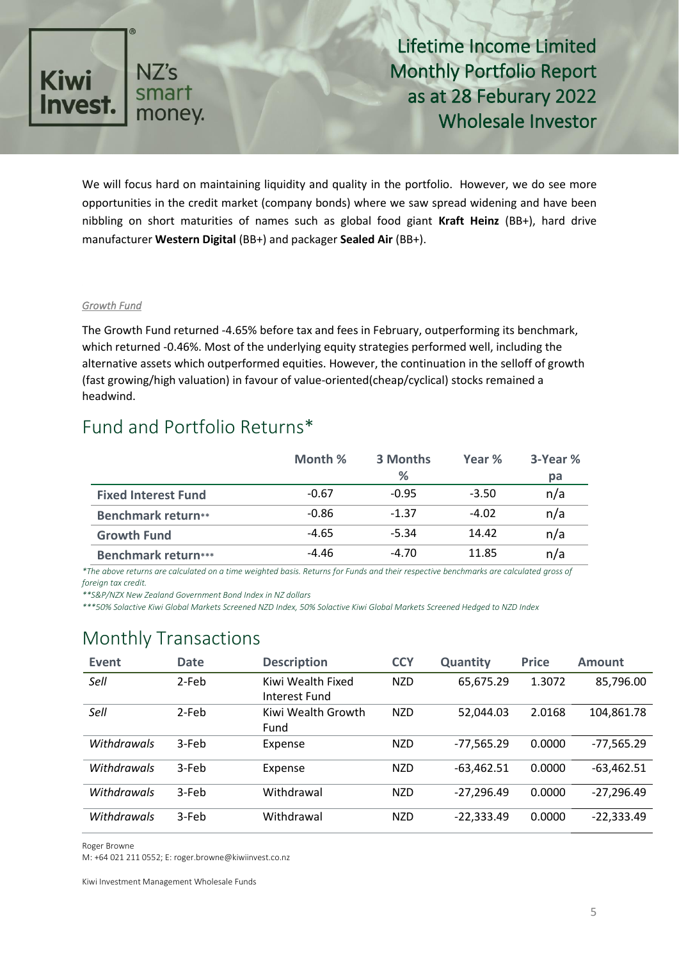

We will focus hard on maintaining liquidity and quality in the portfolio. However, we do see more opportunities in the credit market (company bonds) where we saw spread widening and have been nibbling on short maturities of names such as global food giant **Kraft Heinz** (BB+), hard drive manufacturer **Western Digital** (BB+) and packager **Sealed Air** (BB+).

#### *Growth Fund*

The Growth Fund returned -4.65% before tax and fees in February, outperforming its benchmark, which returned -0.46%. Most of the underlying equity strategies performed well, including the alternative assets which outperformed equities. However, the continuation in the selloff of growth (fast growing/high valuation) in favour of value-oriented(cheap/cyclical) stocks remained a headwind.

#### Fund and Portfolio Returns\*

|                            | Month % | 3 Months | Year %  | 3-Year % |
|----------------------------|---------|----------|---------|----------|
|                            |         | %        |         | pa       |
| <b>Fixed Interest Fund</b> | $-0.67$ | $-0.95$  | $-3.50$ | n/a      |
| <b>Benchmark return**</b>  | $-0.86$ | $-1.37$  | $-4.02$ | n/a      |
| <b>Growth Fund</b>         | $-4.65$ | $-5.34$  | 14.42   | n/a      |
| <b>Benchmark return***</b> | -4.46   | -4.70    | 11.85   | n/a      |

*\*The above returns are calculated on a time weighted basis. Returns for Funds and their respective benchmarks are calculated gross of foreign tax credit.* 

*\*\*S&P/NZX New Zealand Government Bond Index in NZ dollars*

*\*\*\*50% Solactive Kiwi Global Markets Screened NZD Index, 50% Solactive Kiwi Global Markets Screened Hedged to NZD Index*

### Monthly Transactions

| Event       | <b>Date</b> | <b>Description</b>                 | <b>CCY</b> | <b>Quantity</b> | <b>Price</b> | <b>Amount</b> |
|-------------|-------------|------------------------------------|------------|-----------------|--------------|---------------|
| Sell        | 2-Feb       | Kiwi Wealth Fixed<br>Interest Fund | <b>NZD</b> | 65,675.29       | 1.3072       | 85,796.00     |
| Sell        | 2-Feb       | Kiwi Wealth Growth<br>Fund         | <b>NZD</b> | 52,044.03       | 2.0168       | 104,861.78    |
| Withdrawals | 3-Feb       | Expense                            | <b>NZD</b> | $-77,565.29$    | 0.0000       | $-77,565.29$  |
| Withdrawals | 3-Feb       | Expense                            | <b>NZD</b> | $-63,462.51$    | 0.0000       | $-63,462.51$  |
| Withdrawals | 3-Feb       | Withdrawal                         | <b>NZD</b> | $-27,296.49$    | 0.0000       | $-27,296.49$  |
| Withdrawals | 3-Feb       | Withdrawal                         | <b>NZD</b> | $-22,333.49$    | 0.0000       | $-22,333.49$  |

Roger Browne

M: +64 021 211 0552; E: roger.browne@kiwiinvest.co.nz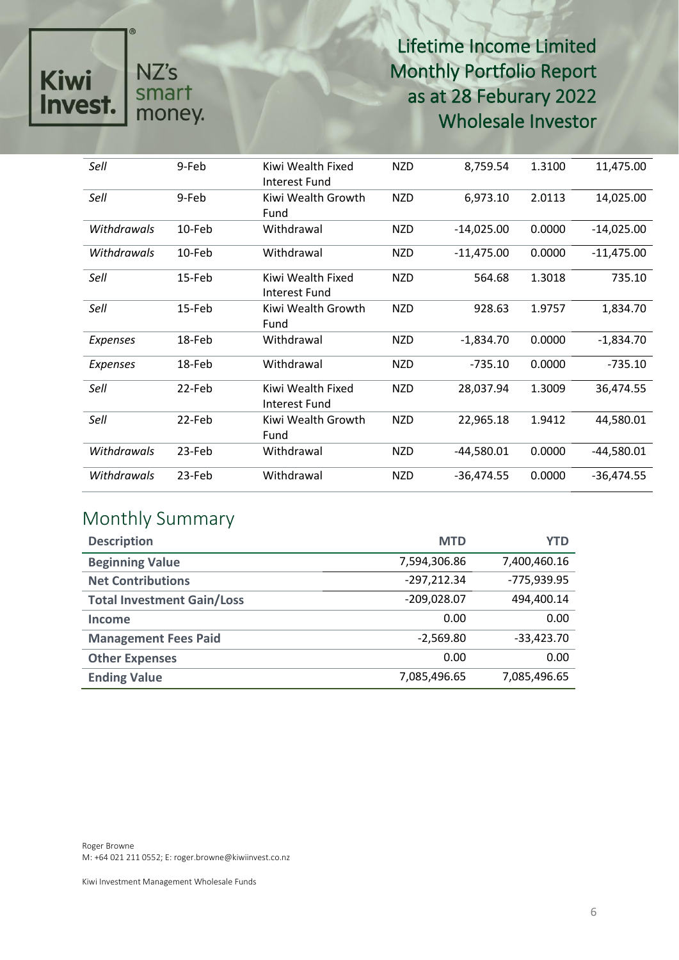# NZ's<br>smart<br>money. Kiwi<br>Invest.

# Lifetime Income Limited Monthly Portfolio Report as at 28 Feburary 2022 Wholesale Investor

| Sell            | 9-Feb  | Kiwi Wealth Fixed<br>Interest Fund | <b>NZD</b> | 8,759.54     | 1.3100 | 11,475.00    |
|-----------------|--------|------------------------------------|------------|--------------|--------|--------------|
| Sell            | 9-Feb  | Kiwi Wealth Growth<br>Fund         | <b>NZD</b> | 6,973.10     | 2.0113 | 14,025.00    |
| Withdrawals     | 10-Feb | Withdrawal                         | <b>NZD</b> | $-14,025.00$ | 0.0000 | $-14,025.00$ |
| Withdrawals     | 10-Feb | Withdrawal                         | <b>NZD</b> | $-11,475.00$ | 0.0000 | $-11,475.00$ |
| Sell            | 15-Feb | Kiwi Wealth Fixed<br>Interest Fund | <b>NZD</b> | 564.68       | 1.3018 | 735.10       |
| Sell            | 15-Feb | Kiwi Wealth Growth<br>Fund         | <b>NZD</b> | 928.63       | 1.9757 | 1,834.70     |
| <b>Expenses</b> | 18-Feb | Withdrawal                         | <b>NZD</b> | $-1,834.70$  | 0.0000 | $-1,834.70$  |
| Expenses        | 18-Feb | Withdrawal                         | <b>NZD</b> | $-735.10$    | 0.0000 | $-735.10$    |
| Sell            | 22-Feb | Kiwi Wealth Fixed<br>Interest Fund | <b>NZD</b> | 28,037.94    | 1.3009 | 36,474.55    |
| Sell            | 22-Feb | Kiwi Wealth Growth<br>Fund         | <b>NZD</b> | 22,965.18    | 1.9412 | 44,580.01    |
| Withdrawals     | 23-Feb | Withdrawal                         | <b>NZD</b> | $-44,580.01$ | 0.0000 | -44,580.01   |
| Withdrawals     | 23-Feb | Withdrawal                         | <b>NZD</b> | $-36,474.55$ | 0.0000 | $-36,474.55$ |

# Monthly Summary

| <b>Description</b>                | <b>MTD</b>    | YTD          |
|-----------------------------------|---------------|--------------|
| <b>Beginning Value</b>            | 7,594,306.86  | 7,400,460.16 |
| <b>Net Contributions</b>          | $-297,212.34$ | -775,939.95  |
| <b>Total Investment Gain/Loss</b> | $-209,028.07$ | 494,400.14   |
| Income                            | 0.00          | 0.00         |
| <b>Management Fees Paid</b>       | $-2,569.80$   | $-33,423.70$ |
| <b>Other Expenses</b>             | 0.00          | 0.00         |
| <b>Ending Value</b>               | 7,085,496.65  | 7,085,496.65 |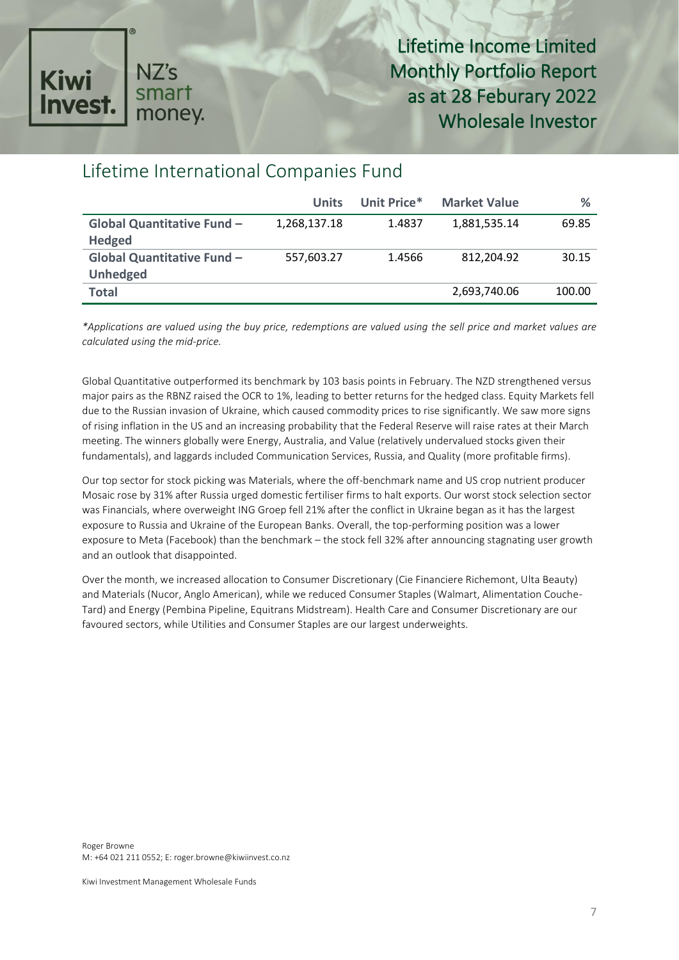

# Lifetime International Companies Fund

|                                   | <b>Units</b> | Unit Price* | <b>Market Value</b> | ℅      |
|-----------------------------------|--------------|-------------|---------------------|--------|
| <b>Global Quantitative Fund -</b> | 1,268,137.18 | 1.4837      | 1,881,535.14        | 69.85  |
| <b>Hedged</b>                     |              |             |                     |        |
| Global Quantitative Fund -        | 557,603.27   | 1.4566      | 812.204.92          | 30.15  |
| <b>Unhedged</b>                   |              |             |                     |        |
| <b>Total</b>                      |              |             | 2,693,740.06        | 100.00 |

*\*Applications are valued using the buy price, redemptions are valued using the sell price and market values are calculated using the mid-price.*

Global Quantitative outperformed its benchmark by 103 basis points in February. The NZD strengthened versus major pairs as the RBNZ raised the OCR to 1%, leading to better returns for the hedged class. Equity Markets fell due to the Russian invasion of Ukraine, which caused commodity prices to rise significantly. We saw more signs of rising inflation in the US and an increasing probability that the Federal Reserve will raise rates at their March meeting. The winners globally were Energy, Australia, and Value (relatively undervalued stocks given their fundamentals), and laggards included Communication Services, Russia, and Quality (more profitable firms).

Our top sector for stock picking was Materials, where the off-benchmark name and US crop nutrient producer Mosaic rose by 31% after Russia urged domestic fertiliser firms to halt exports. Our worst stock selection sector was Financials, where overweight ING Groep fell 21% after the conflict in Ukraine began as it has the largest exposure to Russia and Ukraine of the European Banks. Overall, the top-performing position was a lower exposure to Meta (Facebook) than the benchmark – the stock fell 32% after announcing stagnating user growth and an outlook that disappointed.

Over the month, we increased allocation to Consumer Discretionary (Cie Financiere Richemont, Ulta Beauty) and Materials (Nucor, Anglo American), while we reduced Consumer Staples (Walmart, Alimentation Couche-Tard) and Energy (Pembina Pipeline, Equitrans Midstream). Health Care and Consumer Discretionary are our favoured sectors, while Utilities and Consumer Staples are our largest underweights.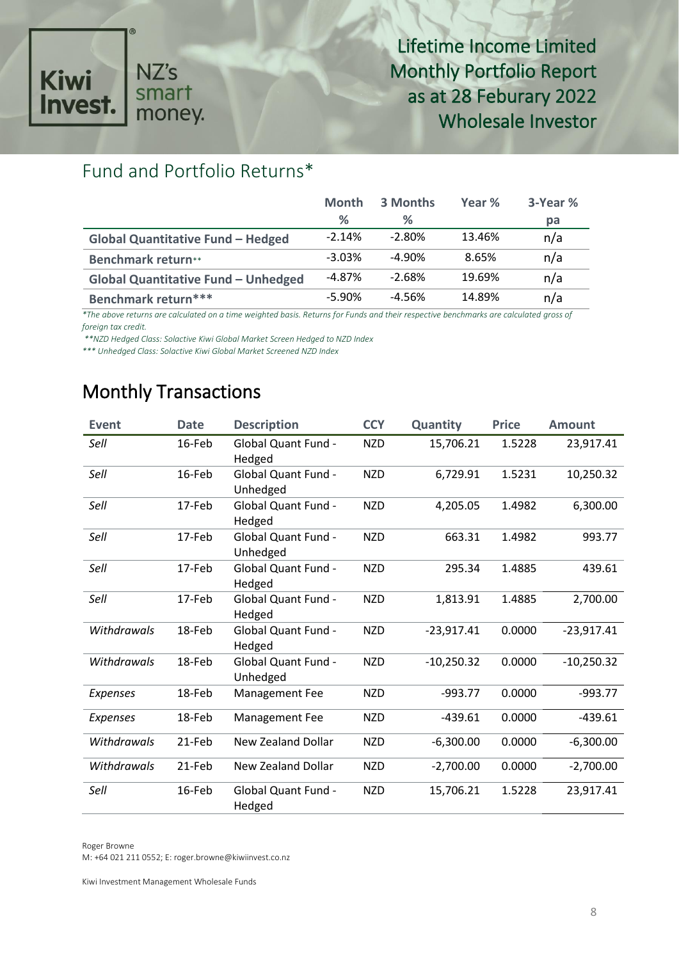# NZ's<br>smart<br>money. Kiwi<br>Invest.

Lifetime Income Limited Monthly Portfolio Report as at 28 Feburary 2022 Wholesale Investor

# Fund and Portfolio Returns\*

|                                            | <b>Month</b>  | 3 Months  | Year % | 3-Year % |
|--------------------------------------------|---------------|-----------|--------|----------|
|                                            | $\frac{9}{6}$ | ℅         |        | pa       |
| <b>Global Quantitative Fund - Hedged</b>   | $-2.14%$      | $-2.80%$  | 13.46% | n/a      |
| <b>Benchmark return**</b>                  | $-3.03%$      | $-4.90\%$ | 8.65%  | n/a      |
| <b>Global Quantitative Fund - Unhedged</b> | $-4.87\%$     | $-2.68%$  | 19.69% | n/a      |
| Benchmark return***                        | $-5.90%$      | -4.56%    | 14.89% | n/a      |

*\*The above returns are calculated on a time weighted basis. Returns for Funds and their respective benchmarks are calculated gross of foreign tax credit.*

*\*\*NZD Hedged Class: Solactive Kiwi Global Market Screen Hedged to NZD Index* 

*\*\*\* Unhedged Class: Solactive Kiwi Global Market Screened NZD Index* 

# Monthly Transactions

| <b>Event</b>    | <b>Date</b> | <b>Description</b>                     | <b>CCY</b> | Quantity     | <b>Price</b> | <b>Amount</b> |
|-----------------|-------------|----------------------------------------|------------|--------------|--------------|---------------|
| Sell            | 16-Feb      | <b>Global Quant Fund -</b><br>Hedged   | <b>NZD</b> | 15,706.21    | 1.5228       | 23,917.41     |
| Sell            | 16-Feb      | <b>Global Quant Fund -</b><br>Unhedged | <b>NZD</b> | 6,729.91     | 1.5231       | 10,250.32     |
| Sell            | 17-Feb      | <b>Global Quant Fund -</b><br>Hedged   | <b>NZD</b> | 4,205.05     | 1.4982       | 6,300.00      |
| Sell            | 17-Feb      | <b>Global Quant Fund -</b><br>Unhedged | <b>NZD</b> | 663.31       | 1.4982       | 993.77        |
| Sell            | 17-Feb      | Global Quant Fund -<br>Hedged          | <b>NZD</b> | 295.34       | 1.4885       | 439.61        |
| Sell            | 17-Feb      | <b>Global Quant Fund -</b><br>Hedged   | <b>NZD</b> | 1,813.91     | 1.4885       | 2,700.00      |
| Withdrawals     | 18-Feb      | <b>Global Quant Fund -</b><br>Hedged   | <b>NZD</b> | $-23,917.41$ | 0.0000       | $-23,917.41$  |
| Withdrawals     | 18-Feb      | <b>Global Quant Fund -</b><br>Unhedged | <b>NZD</b> | $-10,250.32$ | 0.0000       | $-10,250.32$  |
| <b>Expenses</b> | 18-Feb      | Management Fee                         | <b>NZD</b> | $-993.77$    | 0.0000       | $-993.77$     |
| Expenses        | 18-Feb      | Management Fee                         | <b>NZD</b> | $-439.61$    | 0.0000       | $-439.61$     |
| Withdrawals     | 21-Feb      | <b>New Zealand Dollar</b>              | <b>NZD</b> | $-6,300.00$  | 0.0000       | $-6,300.00$   |
| Withdrawals     | 21-Feb      | New Zealand Dollar                     | <b>NZD</b> | $-2,700.00$  | 0.0000       | $-2,700.00$   |
| Sell            | 16-Feb      | <b>Global Quant Fund -</b><br>Hedged   | <b>NZD</b> | 15,706.21    | 1.5228       | 23,917.41     |

Roger Browne

M: +64 021 211 0552; E: roger.browne@kiwiinvest.co.nz